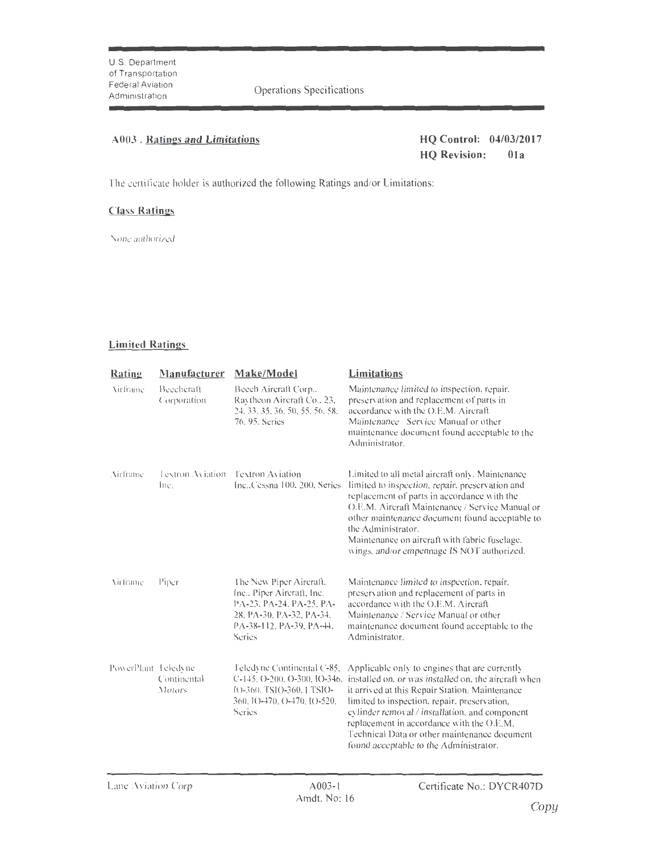Operations Specifications

## A003 . Ratings and Limitations **HQ Control: 04/03/2017**

**HQ Revision: Ola** 

The certificate holder is authorized the following Ratings and/or Limitations:

## **Class Ratings**

None authorized

## **Limited Ratings**

| Rating              | Manufacturer              | Make/Model                                                                                                                                          | Limitations                                                                                                                                                                                                                                                                                                                                                                                                                   |
|---------------------|---------------------------|-----------------------------------------------------------------------------------------------------------------------------------------------------|-------------------------------------------------------------------------------------------------------------------------------------------------------------------------------------------------------------------------------------------------------------------------------------------------------------------------------------------------------------------------------------------------------------------------------|
| <b>Virtimme</b>     | Beecheraft<br>Corporation | Beech Aircraft Corp.,<br>Raytheon Aircraft Co., 23,<br>24, 33, 35, 36, 50, 55, 56, 58,<br>76, 95, Series                                            | Maintenance limited to inspection, repair,<br>preservation and replacement of parts in<br>accordance with the O.E.M. Aircraft<br>Maintenance Service Manual or other<br>maintenance document found acceptable to the<br>Administrator.                                                                                                                                                                                        |
| Airframe            | Lextron Aviation<br>Inc.  | <b>Textron Aviation</b><br>Inc., Cessna 100, 200, Series                                                                                            | Limited to all metal aircraft only. Maintenance<br>limited to inspection, repair, preservation and<br>replacement of parts in accordance with the<br>O.E.M. Aircraft Maintenance / Service Manual or<br>other maintenance document found acceptable to<br>the Administrator.<br>Maintenance on aircraft with fabric fuselage.<br>wings, and/or empennage IS NOT authorized.                                                   |
| Virframe            | Piper                     | The New Piper Aircraft.<br>Inc., Piper Aircraft, Inc.<br>PA-23, PA-24, PA-25, PA-<br>28, PA-30, PA-32, PA-34.<br>PA-38-112, PA-39, PA-44,<br>Series | Maintenance limited to inspection, repair,<br>preservation and replacement of parts in<br>accordance with the O.E.M. Aircraft<br>Maintenance / Service Manual or other<br>maintenance document found acceptable to the<br>Administrator.                                                                                                                                                                                      |
| PowerPlant Teledyne | Continental<br>Motors     | Feledvne Continental C-85,<br>IO-360, TSIO-360, LTSIO-<br>360, IO-470, O-470, IO-520,<br>Series                                                     | Applicable only to engines that are currently<br>C-145, O-200, O-300, IO-346, installed on, or was installed on, the aircraft when<br>it arrived at this Repair Station. Maintenance<br>limited to inspection, repair, preservation,<br>cylinder removal / installation, and component<br>replacement in accordance with the O.E.M.<br>Technical Data or other maintenance document<br>found acceptable to the Administrator. |